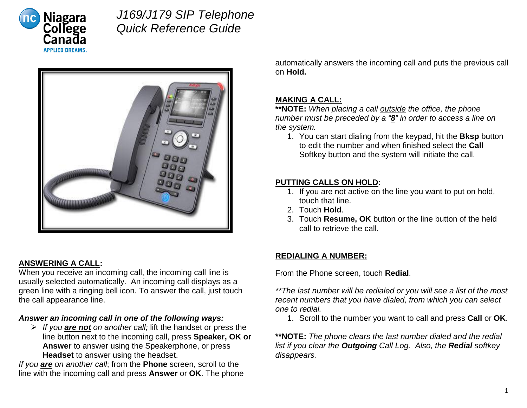

# *J169/J179 SIP Telephone Quick Reference Guide*



### **ANSWERING A CALL:**

When you receive an incoming call, the incoming call line is usually selected automatically. An incoming call displays as a green line with a ringing bell icon. To answer the call, just touch the call appearance line.

#### *Answer an incoming call in one of the following ways:*

 *If you are not on another call;* lift the handset or press the line button next to the incoming call, press **Speaker, OK or Answer** to answer using the Speakerphone, or press **Headset** to answer using the headset.

*If you are on another call*; from the **Phone** screen, scroll to the line with the incoming call and press **Answer** or **OK**. The phone automatically answers the incoming call and puts the previous call on **Hold.**

### **MAKING A CALL:**

**\*\*NOTE:** *When placing a call outside the office, the phone number must be preceded by a "8" in order to access a line on the system.*

1. You can start dialing from the keypad, hit the **Bksp** button to edit the number and when finished select the **Call** Softkey button and the system will initiate the call.

#### **PUTTING CALLS ON HOLD:**

- 1. If you are not active on the line you want to put on hold, touch that line.
- 2. Touch **Hold**.
- 3. Touch **Resume, OK** button or the line button of the held call to retrieve the call.

### **REDIALING A NUMBER:**

From the Phone screen, touch **Redial**.

*\*\*The last number will be redialed or you will see a list of the most recent numbers that you have dialed, from which you can select one to redial.* 

1. Scroll to the number you want to call and press **Call** or **OK**.

**\*\*NOTE:** *The phone clears the last number dialed and the redial list if you clear the Outgoing Call Log. Also, the Redial softkey disappears.*